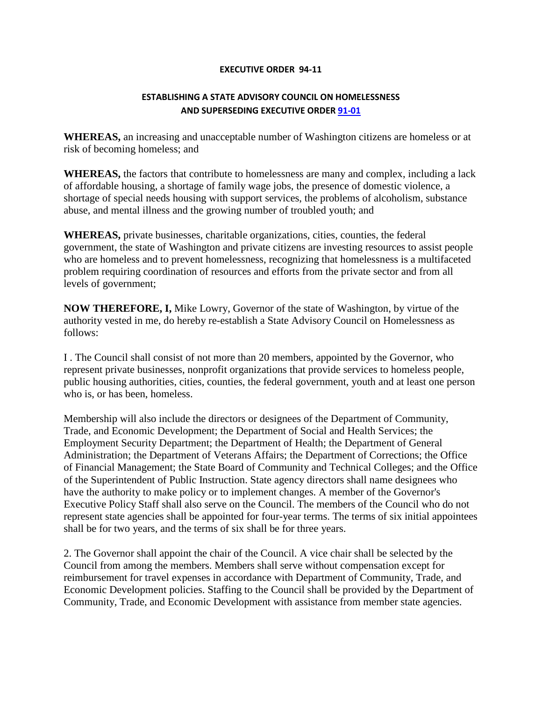## **EXECUTIVE ORDER 94-11**

## **ESTABLISHING A STATE ADVISORY COUNCIL ON HOMELESSNESS AND SUPERSEDING EXECUTIVE ORDER [91-01](http://www.governor.wa.gov/office/execorders/eoarchive/eo91-01.htm)**

**WHEREAS,** an increasing and unacceptable number of Washington citizens are homeless or at risk of becoming homeless; and

**WHEREAS,** the factors that contribute to homelessness are many and complex, including a lack of affordable housing, a shortage of family wage jobs, the presence of domestic violence, a shortage of special needs housing with support services, the problems of alcoholism, substance abuse, and mental illness and the growing number of troubled youth; and

**WHEREAS,** private businesses, charitable organizations, cities, counties, the federal government, the state of Washington and private citizens are investing resources to assist people who are homeless and to prevent homelessness, recognizing that homelessness is a multifaceted problem requiring coordination of resources and efforts from the private sector and from all levels of government;

**NOW THEREFORE, I,** Mike Lowry, Governor of the state of Washington, by virtue of the authority vested in me, do hereby re-establish a State Advisory Council on Homelessness as follows:

I . The Council shall consist of not more than 20 members, appointed by the Governor, who represent private businesses, nonprofit organizations that provide services to homeless people, public housing authorities, cities, counties, the federal government, youth and at least one person who is, or has been, homeless.

Membership will also include the directors or designees of the Department of Community, Trade, and Economic Development; the Department of Social and Health Services; the Employment Security Department; the Department of Health; the Department of General Administration; the Department of Veterans Affairs; the Department of Corrections; the Office of Financial Management; the State Board of Community and Technical Colleges; and the Office of the Superintendent of Public Instruction. State agency directors shall name designees who have the authority to make policy or to implement changes. A member of the Governor's Executive Policy Staff shall also serve on the Council. The members of the Council who do not represent state agencies shall be appointed for four-year terms. The terms of six initial appointees shall be for two years, and the terms of six shall be for three years.

2. The Governor shall appoint the chair of the Council. A vice chair shall be selected by the Council from among the members. Members shall serve without compensation except for reimbursement for travel expenses in accordance with Department of Community, Trade, and Economic Development policies. Staffing to the Council shall be provided by the Department of Community, Trade, and Economic Development with assistance from member state agencies.